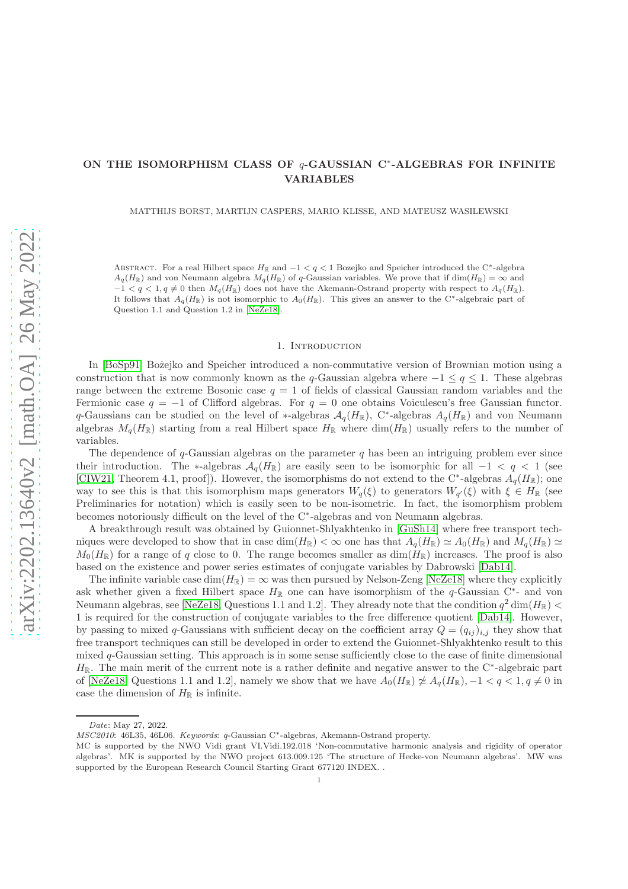# ON THE ISOMORPHISM CLASS OF  $q$ -GAUSSIAN C<sup>\*</sup>-ALGEBRAS FOR INFINITE VARIABLES

MATTHIJS BORST, MARTIJN CASPERS, MARIO KLISSE, AND MATEUSZ WASILEWSKI

ABSTRACT. For a real Hilbert space  $H_{\mathbb{R}}$  and  $-1 < q < 1$  Bozejko and Speicher introduced the C<sup>∗</sup>-algebra  $A_q(H_{\mathbb{R}})$  and von Neumann algebra  $M_q(H_{\mathbb{R}})$  of q-Gaussian variables. We prove that if dim( $H_{\mathbb{R}}$ ) =  $\infty$  and  $-1 < q < 1, q \neq 0$  then  $M_q(H_{\mathbb{R}})$  does not have the Akemann-Ostrand property with respect to  $A_q(H_{\mathbb{R}})$ . It follows that  $A_q(H_{\mathbb{R}})$  is not isomorphic to  $A_0(H_{\mathbb{R}})$ . This gives an answer to the C<sup>∗</sup>-algebraic part of Question 1.1 and Question 1.2 in [\[NeZe18\]](#page-5-0).

#### 1. INTRODUCTION

In [\[BoSp91\]](#page-5-1) Bożejko and Speicher introduced a non-commutative version of Brownian motion using a construction that is now commonly known as the q-Gaussian algebra where  $-1 \le q \le 1$ . These algebras range between the extreme Bosonic case  $q = 1$  of fields of classical Gaussian random variables and the Fermionic case  $q = -1$  of Clifford algebras. For  $q = 0$  one obtains Voiculescu's free Gaussian functor. q-Gaussians can be studied on the level of ∗-algebras  $A_q(H_{\mathbb{R}})$ , C<sup>∗</sup>-algebras  $A_q(H_{\mathbb{R}})$  and von Neumann algebras  $M_q(H_{\mathbb{R}})$  starting from a real Hilbert space  $H_{\mathbb{R}}$  where dim( $H_{\mathbb{R}}$ ) usually refers to the number of variables.

The dependence of  $q$ -Gaussian algebras on the parameter q has been an intriguing problem ever since their introduction. The ∗-algebras  $\mathcal{A}_q(H_{\mathbb{R}})$  are easily seen to be isomorphic for all  $-1 < q < 1$  (see [\[CIW21,](#page-5-2) Theorem 4.1, proof]). However, the isomorphisms do not extend to the C<sup>∗</sup>-algebras  $A_q(H_{\mathbb{R}})$ ; one way to see this is that this isomorphism maps generators  $W_q(\xi)$  to generators  $W_{q'}(\xi)$  with  $\xi \in H_{\mathbb{R}}$  (see Preliminaries for notation) which is easily seen to be non-isometric. In fact, the isomorphism problem becomes notoriously difficult on the level of the C<sup>∗</sup> -algebras and von Neumann algebras.

A breakthrough result was obtained by Guionnet-Shlyakhtenko in [\[GuSh14\]](#page-5-3) where free transport techniques were developed to show that in case  $\dim(H_{\mathbb{R}}) < \infty$  one has that  $A_q(H_{\mathbb{R}}) \simeq A_0(H_{\mathbb{R}})$  and  $M_q(H_{\mathbb{R}}) \simeq$  $M_0(H_{\mathbb{R}})$  for a range of q close to 0. The range becomes smaller as  $dim(H_{\mathbb{R}})$  increases. The proof is also based on the existence and power series estimates of conjugate variables by Dabrowski [\[Dab14\]](#page-5-4).

The infinite variable case  $\dim(H_{\mathbb{R}}) = \infty$  was then pursued by Nelson-Zeng [\[NeZe18\]](#page-5-0) where they explicitly ask whether given a fixed Hilbert space  $H_{\mathbb{R}}$  one can have isomorphism of the q-Gaussian C<sup>\*</sup>- and von Neumann algebras, see [\[NeZe18,](#page-5-0) Questions 1.1 and 1.2]. They already note that the condition  $q^2 \dim(H_{\mathbb{R}})$  < 1 is required for the construction of conjugate variables to the free difference quotient [\[Dab14\]](#page-5-4). However, by passing to mixed q-Gaussians with sufficient decay on the coefficient array  $Q = (q_{ij})_{i,j}$  they show that free transport techniques can still be developed in order to extend the Guionnet-Shlyakhtenko result to this mixed  $q$ -Gaussian setting. This approach is in some sense sufficiently close to the case of finite dimensional  $H_{\mathbb{R}}$ . The main merit of the current note is a rather definite and negative answer to the C<sup>\*</sup>-algebraic part of [\[NeZe18,](#page-5-0) Questions 1.1 and 1.2], namely we show that we have  $A_0(H_{\mathbb{R}}) \not\approx A_q(H_{\mathbb{R}}), -1 < q < 1, q \neq 0$  in case the dimension of  $H_{\mathbb{R}}$  is infinite.

Date: May 27, 2022.

MSC2010: 46L35, 46L06. Keywords: q-Gaussian C<sup>∗</sup> -algebras, Akemann-Ostrand property.

MC is supported by the NWO Vidi grant VI.Vidi.192.018 'Non-commutative harmonic analysis and rigidity of operator algebras'. MK is supported by the NWO project 613.009.125 'The structure of Hecke-von Neumann algebras'. MW was supported by the European Research Council Starting Grant 677120 INDEX. .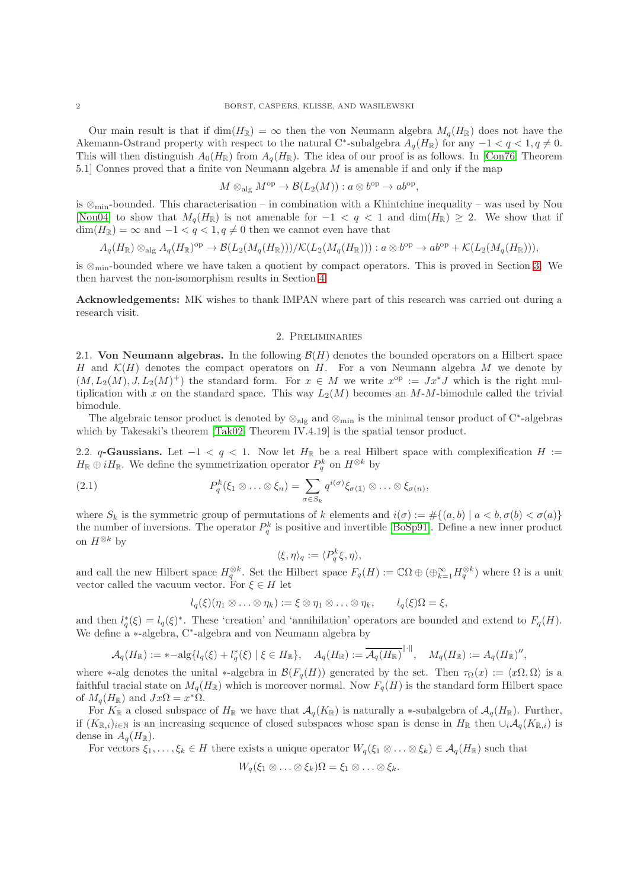Our main result is that if  $\dim(H_{\mathbb{R}}) = \infty$  then the von Neumann algebra  $M_q(H_{\mathbb{R}})$  does not have the Akemann-Ostrand property with respect to the natural C<sup>\*</sup>-subalgebra  $A_q(H_{\mathbb{R}})$  for any  $-1 < q < 1, q \neq 0$ . This will then distinguish  $A_0(H_{\mathbb{R}})$  from  $A_q(H_{\mathbb{R}})$ . The idea of our proof is as follows. In [\[Con76,](#page-5-5) Theorem 5.1] Connes proved that a finite von Neumann algebra M is amenable if and only if the map

$$
M \otimes_{\text{alg}} M^{\text{op}} \to \mathcal{B}(L_2(M)) : a \otimes b^{\text{op}} \to ab^{\text{op}},
$$

is ⊗min-bounded. This characterisation – in combination with a Khintchine inequality – was used by Nou [\[Nou04\]](#page-5-6) to show that  $M_q(H_{\mathbb{R}})$  is not amenable for  $-1 < q < 1$  and  $\dim(H_{\mathbb{R}}) \geq 2$ . We show that if  $\dim(H_{\mathbb{R}}) = \infty$  and  $-1 < q < 1, q \neq 0$  then we cannot even have that

$$
A_q(H_{\mathbb{R}}) \otimes_{\text{alg}} A_q(H_{\mathbb{R}})^{\text{op}} \to \mathcal{B}(L_2(M_q(H_{\mathbb{R}})))/\mathcal{K}(L_2(M_q(H_{\mathbb{R}}))) : a \otimes b^{\text{op}} \to ab^{\text{op}} + \mathcal{K}(L_2(M_q(H_{\mathbb{R}}))),
$$

is ⊗min-bounded where we have taken a quotient by compact operators. This is proved in Section [3.](#page-2-0) We then harvest the non-isomorphism results in Section [4.](#page-3-0)

Acknowledgements: MK wishes to thank IMPAN where part of this research was carried out during a research visit.

#### 2. Preliminaries

2.1. Von Neumann algebras. In the following  $\mathcal{B}(H)$  denotes the bounded operators on a Hilbert space H and  $\mathcal{K}(H)$  denotes the compact operators on H. For a von Neumann algebra M we denote by  $(M, L_2(M), J, L_2(M)^+)$  the standard form. For  $x \in M$  we write  $x^{\rm op} := Jx^*J$  which is the right multiplication with x on the standard space. This way  $L_2(M)$  becomes an M-M-bimodule called the trivial bimodule.

The algebraic tensor product is denoted by  $\otimes_{\text{alg}}$  and  $\otimes_{\text{min}}$  is the minimal tensor product of C<sup>∗</sup>-algebras which by Takesaki's theorem [\[Tak02,](#page-5-7) Theorem IV.4.19] is the spatial tensor product.

2.2. q-Gaussians. Let  $-1 < q < 1$ . Now let  $H_{\mathbb{R}}$  be a real Hilbert space with complexification  $H :=$  $H_{\mathbb{R}} \oplus iH_{\mathbb{R}}$ . We define the symmetrization operator  $P_q^k$  on  $H^{\otimes k}$  by

(2.1) 
$$
P_q^k(\xi_1 \otimes \ldots \otimes \xi_n) = \sum_{\sigma \in S_k} q^{i(\sigma)} \xi_{\sigma(1)} \otimes \ldots \otimes \xi_{\sigma(n)},
$$

where  $S_k$  is the symmetric group of permutations of k elements and  $i(\sigma) := \#\{(a, b) \mid a < b, \sigma(b) < \sigma(a)\}\$ the number of inversions. The operator  $P_q^k$  is positive and invertible [\[BoSp91\]](#page-5-1). Define a new inner product on  $H^{\otimes k}$  by

<span id="page-1-0"></span>
$$
\langle \xi, \eta \rangle_q := \langle P_q^k \xi, \eta \rangle,
$$

and call the new Hilbert space  $H_q^{\otimes k}$ . Set the Hilbert space  $F_q(H) := \mathbb{C}\Omega \oplus (\bigoplus_{k=1}^{\infty} H_q^{\otimes k})$  where  $\Omega$  is a unit vector called the vacuum vector. For  $\xi \in H$  let

$$
l_q(\xi)(\eta_1 \otimes \ldots \otimes \eta_k) := \xi \otimes \eta_1 \otimes \ldots \otimes \eta_k, \qquad l_q(\xi)\Omega = \xi,
$$

and then  $l_q^*(\xi) = l_q(\xi)^*$ . These 'creation' and 'annihilation' operators are bounded and extend to  $F_q(H)$ . We define a <sup>∗</sup>-algebra, C<sup>∗</sup> -algebra and von Neumann algebra by

$$
\mathcal{A}_q(H_{\mathbb{R}}) := *-\mathrm{alg}\{l_q(\xi) + l_q^*(\xi) \mid \xi \in H_{\mathbb{R}}\}, \quad A_q(H_{\mathbb{R}}) := \overline{\mathcal{A}_q(H_{\mathbb{R}})}^{\|\cdot\|}, \quad M_q(H_{\mathbb{R}}) := A_q(H_{\mathbb{R}})^{\prime\prime},
$$

where \*-alg denotes the unital \*-algebra in  $\mathcal{B}(F_q(H))$  generated by the set. Then  $\tau_{\Omega}(x) := \langle x\Omega, \Omega \rangle$  is a faithful tracial state on  $M_q(H_{\mathbb{R}})$  which is moreover normal. Now  $F_q(H)$  is the standard form Hilbert space of  $M_q(H_{\mathbb{R}})$  and  $Jx\Omega = x^*\Omega$ .

For  $K_{\mathbb{R}}$  a closed subspace of  $H_{\mathbb{R}}$  we have that  $\mathcal{A}_q(K_{\mathbb{R}})$  is naturally a ∗-subalgebra of  $\mathcal{A}_q(H_{\mathbb{R}})$ . Further, if  $(K_{\mathbb{R},i})_{i\in\mathbb{N}}$  is an increasing sequence of closed subspaces whose span is dense in  $H_{\mathbb{R}}$  then  $\cup_i\mathcal{A}_q(K_{\mathbb{R},i})$  is dense in  $A_q(H_{\mathbb{R}})$ .

For vectors  $\xi_1,\ldots,\xi_k\in H$  there exists a unique operator  $W_q(\xi_1\otimes\ldots\otimes\xi_k)\in\mathcal{A}_q(H_{\mathbb{R}})$  such that

$$
W_q(\xi_1\otimes\ldots\otimes\xi_k)\Omega=\xi_1\otimes\ldots\otimes\xi_k.
$$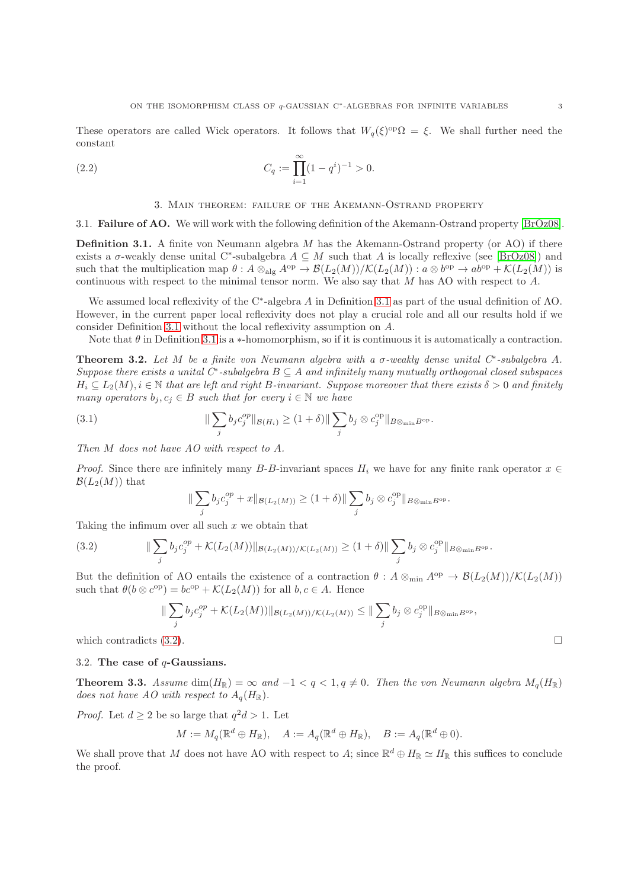These operators are called Wick operators. It follows that  $W_q(\xi)^{\text{op}}\Omega = \xi$ . We shall further need the constant

(2.2) 
$$
C_q := \prod_{i=1}^{\infty} (1 - q^i)^{-1} > 0.
$$

### <span id="page-2-3"></span>3. Main theorem: failure of the Akemann-Ostrand property

<span id="page-2-0"></span>3.1. Failure of AO. We will work with the following definition of the Akemann-Ostrand property [\[BrOz08\]](#page-5-8).

<span id="page-2-1"></span>**Definition 3.1.** A finite von Neumann algebra  $M$  has the Akemann-Ostrand property (or AO) if there exists a  $\sigma$ -weakly dense unital C<sup>\*</sup>-subalgebra  $A \subseteq M$  such that A is locally reflexive (see [\[BrOz08\]](#page-5-8)) and such that the multiplication map  $\theta: A \otimes_{\text{alg}} A^{\text{op}} \to \mathcal{B}(L_2(M))/\mathcal{K}(L_2(M)): a \otimes b^{\text{op}} \to ab^{\text{op}} + \mathcal{K}(L_2(M))$  is continuous with respect to the minimal tensor norm. We also say that M has AO with respect to A.

We assumed local reflexivity of the C<sup>∗</sup> -algebra A in Definition [3.1](#page-2-1) as part of the usual definition of AO. However, in the current paper local reflexivity does not play a crucial role and all our results hold if we consider Definition [3.1](#page-2-1) without the local reflexivity assumption on A.

Note that  $\theta$  in Definition [3.1](#page-2-1) is a ∗-homomorphism, so if it is continuous it is automatically a contraction.

<span id="page-2-4"></span>**Theorem 3.2.** Let M be a finite von Neumann algebra with a  $\sigma$ -weakly dense unital  $C^*$ -subalgebra A.  $Suppose\ there\ exists\ a\ unital\ C^* -subalgebra\ B\subseteq A\ and\ infinitely\ many\ mutually\ orthogonal\ closed\ subspaces$  $H_i \subseteq L_2(M), i \in \mathbb{N}$  that are left and right B-invariant. Suppose moreover that there exists  $\delta > 0$  and finitely many operators  $b_j, c_j \in B$  such that for every  $i \in \mathbb{N}$  we have

(3.1) 
$$
\|\sum_{j} b_j c_j^{op}\|_{\mathcal{B}(H_i)} \ge (1+\delta) \|\sum_{j} b_j \otimes c_j^{op}\|_{B \otimes_{\min} B^{\text{op}}}.
$$

Then M does not have AO with respect to A.

*Proof.* Since there are infinitely many B-B-invariant spaces  $H_i$  we have for any finite rank operator  $x \in$  $\mathcal{B}(L_2(M))$  that

<span id="page-2-2"></span>
$$
\|\sum_j b_j c_j^{op} + x\|_{\mathcal{B}(L_2(M))} \ge (1+\delta) \|\sum_j b_j \otimes c_j^{op}\|_{B\otimes_{\min} B^{\mathrm{op}}}.
$$

Taking the infimum over all such  $x$  we obtain that

(3.2) 
$$
\|\sum_{j} b_{j}c_{j}^{op} + \mathcal{K}(L_{2}(M))\|_{\mathcal{B}(L_{2}(M))/\mathcal{K}(L_{2}(M))} \geq (1+\delta)\|\sum_{j} b_{j} \otimes c_{j}^{op}\|_{B\otimes_{\min} B^{\mathrm{op}}}.
$$

But the definition of AO entails the existence of a contraction  $\theta$ :  $A \otimes_{\min} A^{op} \to \mathcal{B}(L_2(M))/\mathcal{K}(L_2(M))$ such that  $\theta(b \otimes c^{\text{op}}) = bc^{\text{op}} + \mathcal{K}(L_2(M))$  for all  $b, c \in A$ . Hence

$$
\|\sum_{j} b_j c_j^{op} + \mathcal{K}(L_2(M))\|_{\mathcal{B}(L_2(M)) / \mathcal{K}(L_2(M))} \le \|\sum_{j} b_j \otimes c_j^{op}\|_{B \otimes_{\min} B^{\text{op}}},
$$
  
which contradicts (3.2).

#### 3.2. The case of  $q$ -Gaussians.

<span id="page-2-5"></span>**Theorem 3.3.** Assume dim $(H_{\mathbb{R}}) = \infty$  and  $-1 < q < 1, q \neq 0$ . Then the von Neumann algebra  $M_q(H_{\mathbb{R}})$ does not have AO with respect to  $A_q(H_{\mathbb{R}})$ .

*Proof.* Let  $d \ge 2$  be so large that  $q^2d > 1$ . Let

$$
M := M_q(\mathbb{R}^d \oplus H_{\mathbb{R}}), \quad A := A_q(\mathbb{R}^d \oplus H_{\mathbb{R}}), \quad B := A_q(\mathbb{R}^d \oplus 0).
$$

We shall prove that M does not have AO with respect to A; since  $\mathbb{R}^d \oplus H_{\mathbb{R}} \simeq H_{\mathbb{R}}$  this suffices to conclude the proof.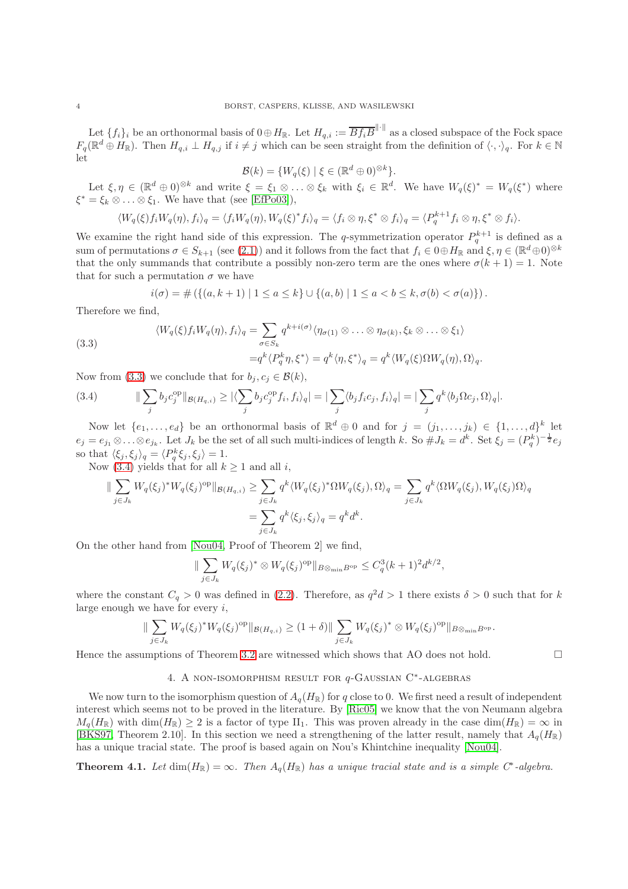Let  $\{f_i\}_i$  be an orthonormal basis of  $0 \oplus H_{\mathbb{R}}$ . Let  $H_{q,i} := \overline{B f_i B}^{\|\cdot\|}$  as a closed subspace of the Fock space  $F_q(\mathbb{R}^d \oplus H_{\mathbb{R}})$ . Then  $H_{q,i} \perp H_{q,j}$  if  $i \neq j$  which can be seen straight from the definition of  $\langle \cdot, \cdot \rangle_q$ . For  $k \in \mathbb{N}$ let

$$
\mathcal{B}(k) = \{W_q(\xi) \mid \xi \in (\mathbb{R}^d \oplus 0)^{\otimes k}\}.
$$

Let  $\xi, \eta \in (\mathbb{R}^d \oplus 0)^{\otimes k}$  and write  $\xi = \xi_1 \otimes \ldots \otimes \xi_k$  with  $\xi_i \in \mathbb{R}^d$ . We have  $W_q(\xi)^* = W_q(\xi^*)$  where  $\xi^* = \xi_k \otimes \ldots \otimes \xi_1$ . We have that (see [\[EfPo03\]](#page-5-9)),

$$
\langle W_q(\xi) f_i W_q(\eta), f_i \rangle_q = \langle f_i W_q(\eta), W_q(\xi)^* f_i \rangle_q = \langle f_i \otimes \eta, \xi^* \otimes f_i \rangle_q = \langle P_q^{k+1} f_i \otimes \eta, \xi^* \otimes f_i \rangle.
$$

We examine the right hand side of this expression. The q-symmetrization operator  $P_q^{k+1}$  is defined as a sum of permutations  $\sigma \in S_{k+1}$  (see [\(2.1\)](#page-1-0)) and it follows from the fact that  $f_i \in 0 \oplus H_{\mathbb{R}}$  and  $\xi, \eta \in (\mathbb{R}^d \oplus 0)^{\otimes k}$ that the only summands that contribute a possibly non-zero term are the ones where  $\sigma(k+1) = 1$ . Note that for such a permutation  $\sigma$  we have

$$
i(\sigma) = \# \left( \{ (a, k+1) \mid 1 \le a \le k \} \cup \{ (a, b) \mid 1 \le a < b \le k, \sigma(b) < \sigma(a) \} \right).
$$

Therefore we find,

<span id="page-3-1"></span>(3.3)  
\n
$$
\langle W_q(\xi) f_i W_q(\eta), f_i \rangle_q = \sum_{\sigma \in S_k} q^{k + i(\sigma)} \langle \eta_{\sigma(1)} \otimes \ldots \otimes \eta_{\sigma(k)}, \xi_k \otimes \ldots \otimes \xi_1 \rangle
$$
\n
$$
= q^k \langle P_q^k \eta, \xi^* \rangle = q^k \langle \eta, \xi^* \rangle_q = q^k \langle W_q(\xi) \Omega W_q(\eta), \Omega \rangle_q.
$$

Now from [\(3.3\)](#page-3-1) we conclude that for  $b_i, c_i \in \mathcal{B}(k)$ ,

<span id="page-3-2"></span>(3.4) 
$$
\|\sum_{j} b_j c_j^{\rm op}\|_{\mathcal{B}(H_{q,i})} \geq |\langle \sum_{j} b_j c_j^{\rm op} f_i, f_i \rangle_q| = |\sum_{j} \langle b_j f_i c_j, f_i \rangle_q| = |\sum_{j} q^k \langle b_j \Omega c_j, \Omega \rangle_q|.
$$

Now let  $\{e_1,\ldots,e_d\}$  be an orthonormal basis of  $\mathbb{R}^d \oplus 0$  and for  $j = (j_1,\ldots,j_k) \in \{1,\ldots,d\}^k$  let  $e_j = e_{j_1} \otimes \ldots \otimes e_{j_k}$ . Let  $J_k$  be the set of all such multi-indices of length k. So  $\# J_k = d^k$ . Set  $\xi_j = (P_q^k)^{-\frac{1}{2}} e_j$ so that  $\langle \xi_j, \xi_j \rangle_q = \langle P_q^k \xi_j, \xi_j \rangle = 1.$ 

Now [\(3.4\)](#page-3-2) yields that for all  $k \geq 1$  and all i,

$$
\|\sum_{j\in J_k} W_q(\xi_j)^* W_q(\xi_j)^{\text{op}}\|_{\mathcal{B}(H_{q,i})} \ge \sum_{j\in J_k} q^k \langle W_q(\xi_j)^* \Omega W_q(\xi_j), \Omega \rangle_q = \sum_{j\in J_k} q^k \langle \Omega W_q(\xi_j), W_q(\xi_j) \Omega \rangle_q
$$
  
= 
$$
\sum_{j\in J_k} q^k \langle \xi_j, \xi_j \rangle_q = q^k d^k.
$$

On the other hand from [\[Nou04,](#page-5-6) Proof of Theorem 2] we find,

$$
\|\sum_{j\in J_k} W_q(\xi_j)^* \otimes W_q(\xi_j)^{\rm op}\|_{B\otimes_{\min} B^{\rm op}} \leq C_q^3(k+1)^2 d^{k/2},
$$

where the constant  $C_q > 0$  was defined in [\(2.2\)](#page-2-3). Therefore, as  $q^2d > 1$  there exists  $\delta > 0$  such that for k large enough we have for every  $i$ ,

$$
\|\sum_{j\in J_k}W_q(\xi_j)^*W_q(\xi_j)^{\rm op}\|_{\mathcal{B}(H_{q,i})}\geq (1+\delta)\|\sum_{j\in J_k}W_q(\xi_j)^*\otimes W_q(\xi_j)^{\rm op}\|_{B\otimes_{\min}B^{\rm op}}.
$$

<span id="page-3-0"></span>Hence the assumptions of Theorem [3.2](#page-2-4) are witnessed which shows that AO does not hold.  $\square$ 

## 4. A NON-ISOMORPHISM RESULT FOR  $q$ -GAUSSIAN C<sup>\*</sup>-ALGEBRAS

We now turn to the isomorphism question of  $A_q(H_{\mathbb{R}})$  for q close to 0. We first need a result of independent interest which seems not to be proved in the literature. By [\[Ric05\]](#page-5-10) we know that the von Neumann algebra  $M_q(H_{\mathbb{R}})$  with  $\dim(H_{\mathbb{R}}) > 2$  is a factor of type  $II_1$ . This was proven already in the case  $\dim(H_{\mathbb{R}}) = \infty$  in [\[BKS97,](#page-5-11) Theorem 2.10]. In this section we need a strengthening of the latter result, namely that  $A_q(H_{\mathbb{R}})$ has a unique tracial state. The proof is based again on Nou's Khintchine inequality [\[Nou04\]](#page-5-6).

<span id="page-3-3"></span>**Theorem 4.1.** Let  $dim(H_{\mathbb{R}}) = \infty$ . Then  $A_q(H_{\mathbb{R}})$  has a unique tracial state and is a simple C<sup>\*</sup>-algebra.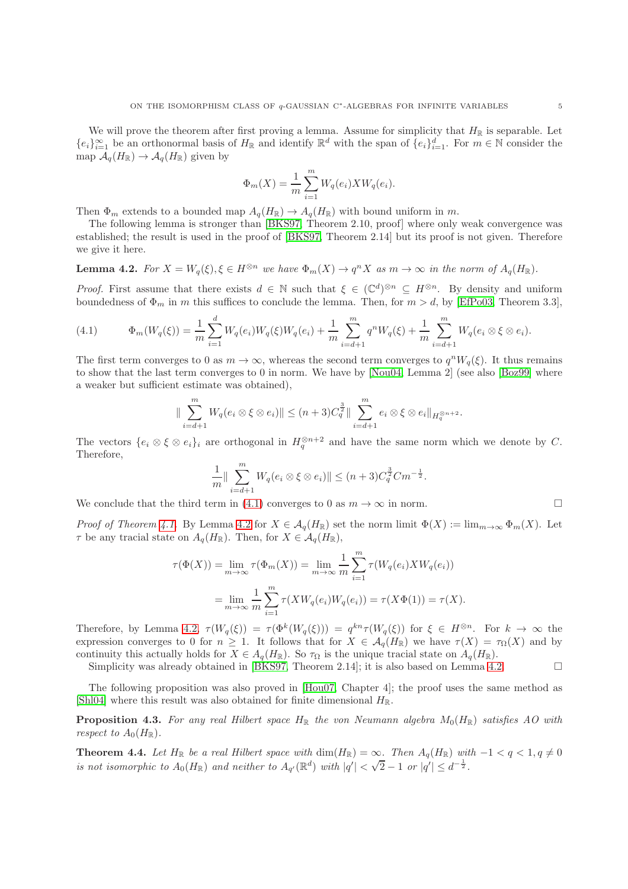We will prove the theorem after first proving a lemma. Assume for simplicity that  $H_{\mathbb{R}}$  is separable. Let  ${e_i}_{i=1}^{\infty}$  be an orthonormal basis of  $H_{\mathbb{R}}$  and identify  $\mathbb{R}^d$  with the span of  ${e_i}_{i=1}^d$ . For  $m \in \mathbb{N}$  consider the map  $A_q(H_{\mathbb{R}}) \to A_q(H_{\mathbb{R}})$  given by

$$
\Phi_m(X) = \frac{1}{m} \sum_{i=1}^m W_q(e_i) X W_q(e_i).
$$

Then  $\Phi_m$  extends to a bounded map  $A_q(H_{\mathbb{R}}) \to A_q(H_{\mathbb{R}})$  with bound uniform in m.

The following lemma is stronger than [\[BKS97,](#page-5-11) Theorem 2.10, proof] where only weak convergence was established; the result is used in the proof of [\[BKS97,](#page-5-11) Theorem 2.14] but its proof is not given. Therefore we give it here.

# <span id="page-4-1"></span>**Lemma 4.2.** For  $X = W_q(\xi), \xi \in H^{\otimes n}$  we have  $\Phi_m(X) \to q^n X$  as  $m \to \infty$  in the norm of  $A_q(H_{\mathbb{R}})$ .

*Proof.* First assume that there exists  $d \in \mathbb{N}$  such that  $\xi \in (\mathbb{C}^d)^{\otimes n} \subseteq H^{\otimes n}$ . By density and uniform boundedness of  $\Phi_m$  in m this suffices to conclude the lemma. Then, for  $m > d$ , by [\[EfPo03,](#page-5-9) Theorem 3.3],

<span id="page-4-0"></span>(4.1) 
$$
\Phi_m(W_q(\xi)) = \frac{1}{m} \sum_{i=1}^d W_q(e_i) W_q(\xi) W_q(e_i) + \frac{1}{m} \sum_{i=d+1}^m q^n W_q(\xi) + \frac{1}{m} \sum_{i=d+1}^m W_q(e_i \otimes \xi \otimes e_i).
$$

The first term converges to 0 as  $m \to \infty$ , whereas the second term converges to  $q^n W_q(\xi)$ . It thus remains to show that the last term converges to 0 in norm. We have by [\[Nou04,](#page-5-6) Lemma 2] (see also [\[Boz99\]](#page-5-12) where a weaker but sufficient estimate was obtained),

$$
\|\sum_{i=d+1}^m W_q(e_i \otimes \xi \otimes e_i)\| \le (n+3)C_q^{\frac{3}{2}} \|\sum_{i=d+1}^m e_i \otimes \xi \otimes e_i\|_{H_q^{\otimes n+2}}.
$$

The vectors  $\{e_i \otimes \xi \otimes e_i\}_i$  are orthogonal in  $H_q^{\otimes n+2}$  and have the same norm which we denote by C. Therefore,

$$
\frac{1}{m} \|\sum_{i=d+1}^{m} W_q(e_i \otimes \xi \otimes e_i) \| \le (n+3)C_q^{\frac{3}{2}} C m^{-\frac{1}{2}}.
$$

We conclude that the third term in [\(4.1\)](#page-4-0) converges to 0 as  $m \to \infty$  in norm.

Proof of Theorem [4.1.](#page-3-3) By Lemma [4.2](#page-4-1) for  $X \in \mathcal{A}_q(H_{\mathbb{R}})$  set the norm limit  $\Phi(X) := \lim_{m \to \infty} \Phi_m(X)$ . Let  $\tau$  be any tracial state on  $A_{\alpha}(H_{\mathbb{R}})$ . Then, for  $X \in \mathcal{A}_{\alpha}(H_{\mathbb{R}})$ ,

$$
\tau(\Phi(X)) = \lim_{m \to \infty} \tau(\Phi_m(X)) = \lim_{m \to \infty} \frac{1}{m} \sum_{i=1}^m \tau(W_q(e_i) X W_q(e_i))
$$

$$
= \lim_{m \to \infty} \frac{1}{m} \sum_{i=1}^m \tau(X W_q(e_i) W_q(e_i)) = \tau(X \Phi(1)) = \tau(X).
$$

Therefore, by Lemma [4.2,](#page-4-1)  $\tau(W_q(\xi)) = \tau(\Phi^k(W_q(\xi))) = q^{kn} \tau(W_q(\xi))$  for  $\xi \in H^{\otimes n}$ . For  $k \to \infty$  the expression converges to 0 for  $n \geq 1$ . It follows that for  $X \in \mathcal{A}_q(H_\mathbb{R})$  we have  $\tau(X) = \tau_{\Omega}(X)$  and by continuity this actually holds for  $X \in A_q(H_{\mathbb{R}})$ . So  $\tau_{\Omega}$  is the unique tracial state on  $A_q(H_{\mathbb{R}})$ .

Simplicity was already obtained in [\[BKS97,](#page-5-11) Theorem 2.14]; it is also based on Lemma [4.2.](#page-4-1)  $\Box$ 

The following proposition was also proved in [\[Hou07,](#page-5-13) Chapter 4]; the proof uses the same method as [\[Shl04\]](#page-5-14) where this result was also obtained for finite dimensional  $H_{\mathbb{R}}$ .

<span id="page-4-2"></span>**Proposition 4.3.** For any real Hilbert space  $H_{\mathbb{R}}$  the von Neumann algebra  $M_0(H_{\mathbb{R}})$  satisfies AO with respect to  $A_0(H_{\mathbb{R}})$ .

<span id="page-4-3"></span>**Theorem 4.4.** Let  $H_{\mathbb{R}}$  be a real Hilbert space with  $\dim(H_{\mathbb{R}}) = \infty$ . Then  $A_q(H_{\mathbb{R}})$  with  $-1 < q < 1, q \neq 0$ is not isomorphic to  $A_0(H_{\mathbb{R}})$  and neither to  $A_{q'}(\mathbb{R}^d)$  with  $|q'| < \sqrt{2}-1$  or  $|q'| \leq d^{-\frac{1}{2}}$ .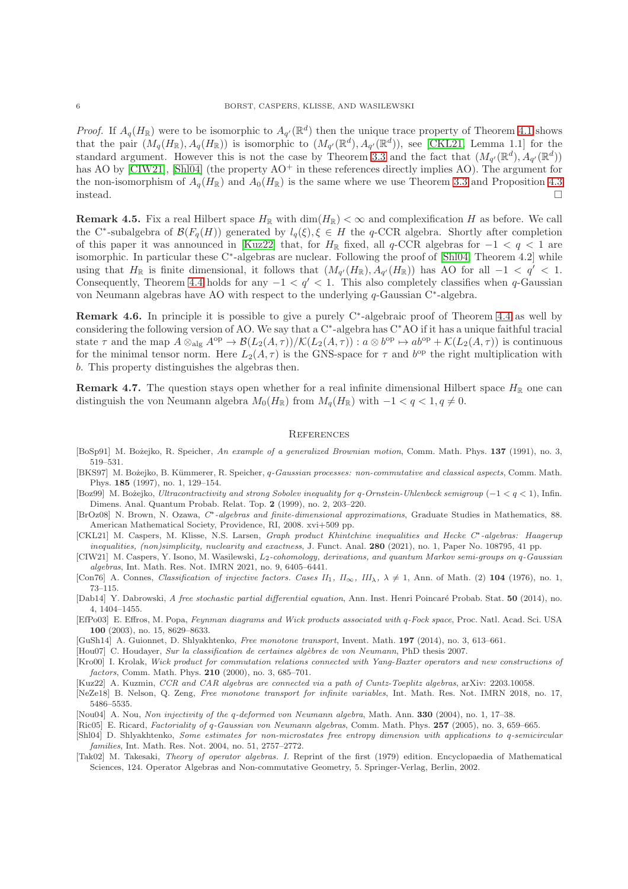*Proof.* If  $A_q(H_{\mathbb{R}})$  were to be isomorphic to  $A_{q'}(\mathbb{R}^d)$  then the unique trace property of Theorem [4.1](#page-3-3) shows that the pair  $(M_q(H_{\mathbb{R}}), A_q(H_{\mathbb{R}}))$  is isomorphic to  $(M_{q'}(\mathbb{R}^d), A_{q'}(\mathbb{R}^d))$ , see [\[CKL21,](#page-5-15) Lemma 1.1] for the standard argument. However this is not the case by Theorem [3.3](#page-2-5) and the fact that  $(M_{q'}(\mathbb{R}^d), A_{q'}(\mathbb{R}^d))$ has AO by [\[CIW21\]](#page-5-2), [\[Shl04\]](#page-5-14) (the property  $AO^+$  in these references directly implies AO). The argument for the non-isomorphism of  $A_q(H_{\mathbb{R}})$  and  $A_0(H_{\mathbb{R}})$  is the same where we use Theorem [3.3](#page-2-5) and Proposition [4.3](#page-4-2) instead.  $\Box$ 

**Remark 4.5.** Fix a real Hilbert space  $H_{\mathbb{R}}$  with  $\dim(H_{\mathbb{R}}) < \infty$  and complexification H as before. We call the C<sup>∗</sup>-subalgebra of  $\mathcal{B}(F_q(H))$  generated by  $l_q(\xi), \xi \in H$  the q-CCR algebra. Shortly after completion of this paper it was announced in [\[Kuz22\]](#page-5-16) that, for  $H_{\mathbb{R}}$  fixed, all q-CCR algebras for  $-1 < q < 1$  are isomorphic. In particular these C<sup>∗</sup> -algebras are nuclear. Following the proof of [\[Shl04,](#page-5-14) Theorem 4.2] while using that  $H_{\mathbb{R}}$  is finite dimensional, it follows that  $(M_{q'}(H_{\mathbb{R}}), A_{q'}(H_{\mathbb{R}}))$  has AO for all  $-1 < q' < 1$ . Consequently, Theorem [4.4](#page-4-3) holds for any  $-1 < q' < 1$ . This also completely classifies when q-Gaussian von Neumann algebras have AO with respect to the underlying q-Gaussian C<sup>∗</sup> -algebra.

**Remark 4.6.** In principle it is possible to give a purely  $C^*$ -algebraic proof of Theorem [4.4](#page-4-3) as well by considering the following version of AO. We say that a C<sup>∗</sup> -algebra has C<sup>∗</sup>AO if it has a unique faithful tracial state  $\tau$  and the map  $A \otimes_{\text{alg}} A^{\text{op}} \to \mathcal{B}(L_2(A, \tau))/\mathcal{K}(L_2(A, \tau))$ :  $a \otimes b^{\text{op}} \to ab^{\text{op}} + \mathcal{K}(L_2(A, \tau))$  is continuous for the minimal tensor norm. Here  $L_2(A, \tau)$  is the GNS-space for  $\tau$  and  $b^{op}$  the right multiplication with b. This property distinguishes the algebras then.

**Remark 4.7.** The question stays open whether for a real infinite dimensional Hilbert space  $H_{\mathbb{R}}$  one can distinguish the von Neumann algebra  $M_0(H_{\mathbb{R}})$  from  $M_q(H_{\mathbb{R}})$  with  $-1 < q < 1, q \neq 0$ .

#### **REFERENCES**

- <span id="page-5-1"></span>[BoSp91] M. Bożejko, R. Speicher, An example of a generalized Brownian motion, Comm. Math. Phys. 137 (1991), no. 3, 519–531.
- <span id="page-5-11"></span>[BKS97] M. Bożejko, B. Kümmerer, R. Speicher, q-Gaussian processes: non-commutative and classical aspects, Comm. Math. Phys. 185 (1997), no. 1, 129–154.
- <span id="page-5-12"></span>[Boz99] M. Bożejko, Ultracontractivity and strong Sobolev inequality for q-Ornstein-Uhlenbeck semigroup (−1 < q < 1), Infin. Dimens. Anal. Quantum Probab. Relat. Top. 2 (1999), no. 2, 203–220.
- <span id="page-5-8"></span>[BrOz08] N. Brown, N. Ozawa, C∗-algebras and finite-dimensional approximations, Graduate Studies in Mathematics, 88. American Mathematical Society, Providence, RI, 2008. xvi+509 pp.
- <span id="page-5-15"></span>[CKL21] M. Caspers, M. Klisse, N.S. Larsen, Graph product Khintchine inequalities and Hecke C∗-algebras: Haagerup inequalities, (non)simplicity, nuclearity and exactness, J. Funct. Anal. 280 (2021), no. 1, Paper No. 108795, 41 pp.
- <span id="page-5-2"></span>[CIW21] M. Caspers, Y. Isono, M. Wasilewski,  $L_2$ -cohomology, derivations, and quantum Markov semi-groups on q-Gaussian algebras, Int. Math. Res. Not. IMRN 2021, no. 9, 6405–6441.
- <span id="page-5-5"></span>[Con76] A. Connes, Classification of injective factors. Cases  $II_1$ ,  $II_\infty$ ,  $III_\lambda$ ,  $\lambda \neq 1$ , Ann. of Math. (2) 104 (1976), no. 1, 73–115.
- <span id="page-5-4"></span>[Dab14] Y. Dabrowski, A free stochastic partial differential equation, Ann. Inst. Henri Poincar´e Probab. Stat. 50 (2014), no. 4, 1404–1455.
- <span id="page-5-9"></span>[EfPo03] E. Effros, M. Popa, Feynman diagrams and Wick products associated with q-Fock space, Proc. Natl. Acad. Sci. USA 100 (2003), no. 15, 8629–8633.
- <span id="page-5-3"></span>[GuSh14] A. Guionnet, D. Shlyakhtenko, Free monotone transport, Invent. Math. 197 (2014), no. 3, 613–661.
- <span id="page-5-13"></span>[Hou07] C. Houdayer, Sur la classification de certaines algèbres de von Neumann, PhD thesis 2007.
- [Kro00] I. Krolak, Wick product for commutation relations connected with Yang-Baxter operators and new constructions of factors, Comm. Math. Phys. 210 (2000), no. 3, 685–701.
- <span id="page-5-16"></span>[Kuz22] A. Kuzmin, CCR and CAR algebras are connected via a path of Cuntz-Toeplitz algebras, arXiv: 2203.10058.
- <span id="page-5-0"></span>[NeZe18] B. Nelson, Q. Zeng, Free monotone transport for infinite variables, Int. Math. Res. Not. IMRN 2018, no. 17, 5486–5535.
- <span id="page-5-6"></span>[Nou04] A. Nou, Non injectivity of the q-deformed von Neumann algebra, Math. Ann. 330 (2004), no. 1, 17–38.
- <span id="page-5-10"></span>[Ric05] E. Ricard, Factoriality of q-Gaussian von Neumann algebras, Comm. Math. Phys. 257 (2005), no. 3, 659–665.
- <span id="page-5-14"></span>[Shl04] D. Shlyakhtenko, Some estimates for non-microstates free entropy dimension with applications to q-semicircular families, Int. Math. Res. Not. 2004, no. 51, 2757–2772.
- <span id="page-5-7"></span>[Tak02] M. Takesaki, Theory of operator algebras. I. Reprint of the first (1979) edition. Encyclopaedia of Mathematical Sciences, 124. Operator Algebras and Non-commutative Geometry, 5. Springer-Verlag, Berlin, 2002.